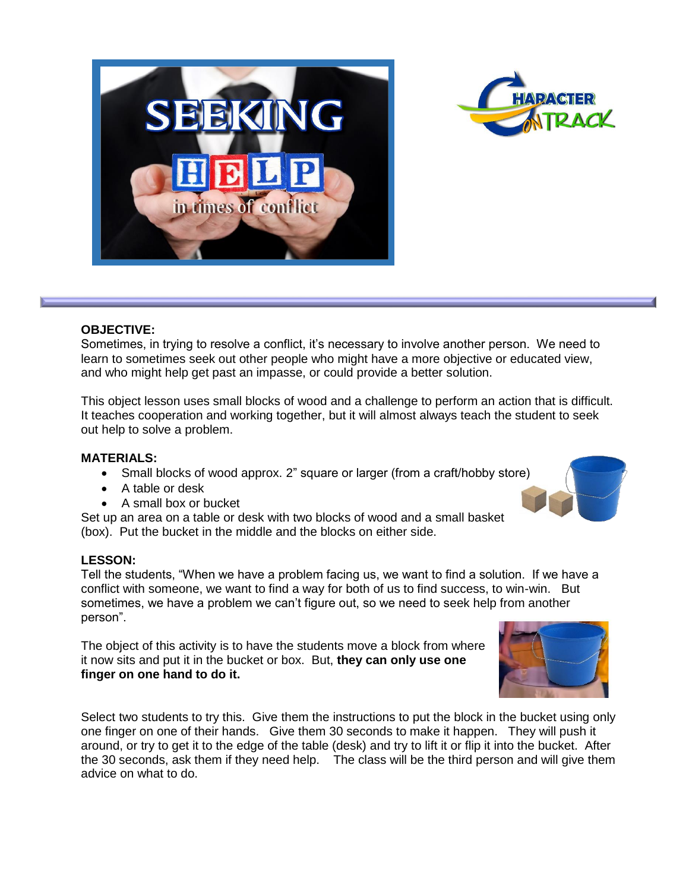



### **OBJECTIVE:**

Sometimes, in trying to resolve a conflict, it's necessary to involve another person. We need to learn to sometimes seek out other people who might have a more objective or educated view, and who might help get past an impasse, or could provide a better solution.

This object lesson uses small blocks of wood and a challenge to perform an action that is difficult. It teaches cooperation and working together, but it will almost always teach the student to seek out help to solve a problem.

### **MATERIALS:**

- Small blocks of wood approx. 2" square or larger (from a craft/hobby store)
- A table or desk
- A small box or bucket

Set up an area on a table or desk with two blocks of wood and a small basket (box). Put the bucket in the middle and the blocks on either side.

### **LESSON:**

Tell the students, "When we have a problem facing us, we want to find a solution. If we have a conflict with someone, we want to find a way for both of us to find success, to win-win. But sometimes, we have a problem we can't figure out, so we need to seek help from another person".

The object of this activity is to have the students move a block from where it now sits and put it in the bucket or box. But, **they can only use one finger on one hand to do it.**

Select two students to try this. Give them the instructions to put the block in the bucket using only one finger on one of their hands. Give them 30 seconds to make it happen. They will push it around, or try to get it to the edge of the table (desk) and try to lift it or flip it into the bucket. After the 30 seconds, ask them if they need help. The class will be the third person and will give them advice on what to do.



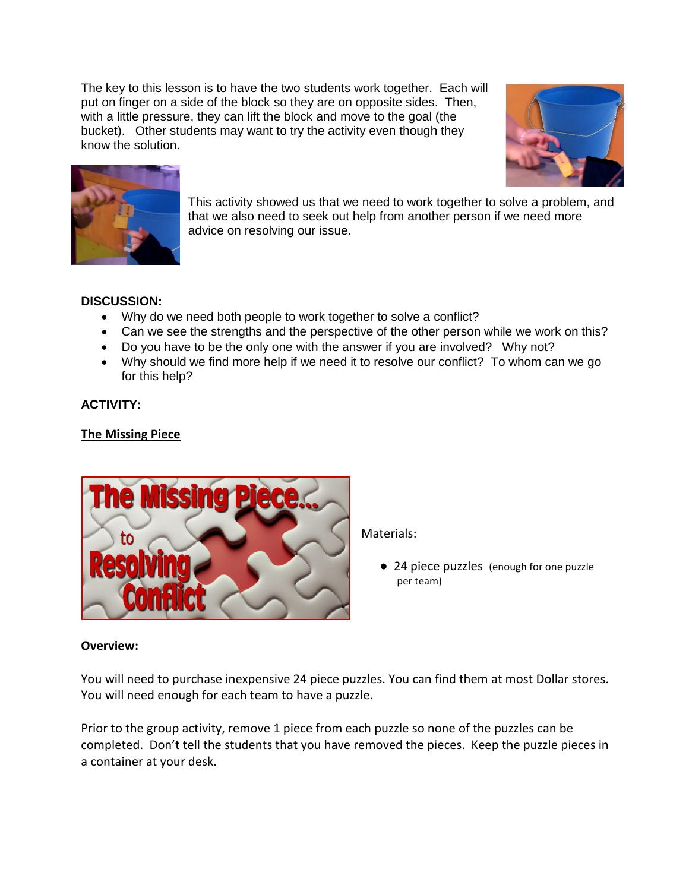The key to this lesson is to have the two students work together. Each will put on finger on a side of the block so they are on opposite sides. Then, with a little pressure, they can lift the block and move to the goal (the bucket). Other students may want to try the activity even though they know the solution.





This activity showed us that we need to work together to solve a problem, and that we also need to seek out help from another person if we need more advice on resolving our issue.

# **DISCUSSION:**

- Why do we need both people to work together to solve a conflict?
- Can we see the strengths and the perspective of the other person while we work on this?
- Do you have to be the only one with the answer if you are involved? Why not?
- Why should we find more help if we need it to resolve our conflict? To whom can we go for this help?

## **ACTIVITY:**

## **The Missing Piece**



Materials:

● 24 piece puzzles (enough for one puzzle per team)

### **Overview:**

You will need to purchase inexpensive 24 piece puzzles. You can find them at most Dollar stores. You will need enough for each team to have a puzzle.

Prior to the group activity, remove 1 piece from each puzzle so none of the puzzles can be completed. Don't tell the students that you have removed the pieces. Keep the puzzle pieces in a container at your desk.